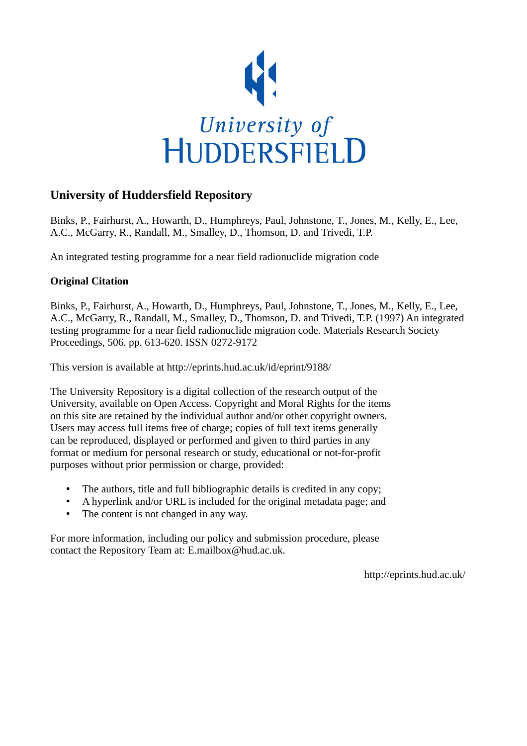

# **University of Huddersfield Repository**

Binks, P., Fairhurst, A., Howarth, D., Humphreys, Paul, Johnstone, T., Jones, M., Kelly, E., Lee, A.C., McGarry, R., Randall, M., Smalley, D., Thomson, D. and Trivedi, T.P.

An integrated testing programme for a near field radionuclide migration code

## **Original Citation**

Binks, P., Fairhurst, A., Howarth, D., Humphreys, Paul, Johnstone, T., Jones, M., Kelly, E., Lee, A.C., McGarry, R., Randall, M., Smalley, D., Thomson, D. and Trivedi, T.P. (1997) An integrated testing programme for a near field radionuclide migration code. Materials Research Society Proceedings, 506. pp. 613-620. ISSN 0272-9172

This version is available at http://eprints.hud.ac.uk/id/eprint/9188/

The University Repository is a digital collection of the research output of the University, available on Open Access. Copyright and Moral Rights for the items on this site are retained by the individual author and/or other copyright owners. Users may access full items free of charge; copies of full text items generally can be reproduced, displayed or performed and given to third parties in any format or medium for personal research or study, educational or not-for-profit purposes without prior permission or charge, provided:

- The authors, title and full bibliographic details is credited in any copy;
- A hyperlink and/or URL is included for the original metadata page; and
- The content is not changed in any way.

For more information, including our policy and submission procedure, please contact the Repository Team at: E.mailbox@hud.ac.uk.

http://eprints.hud.ac.uk/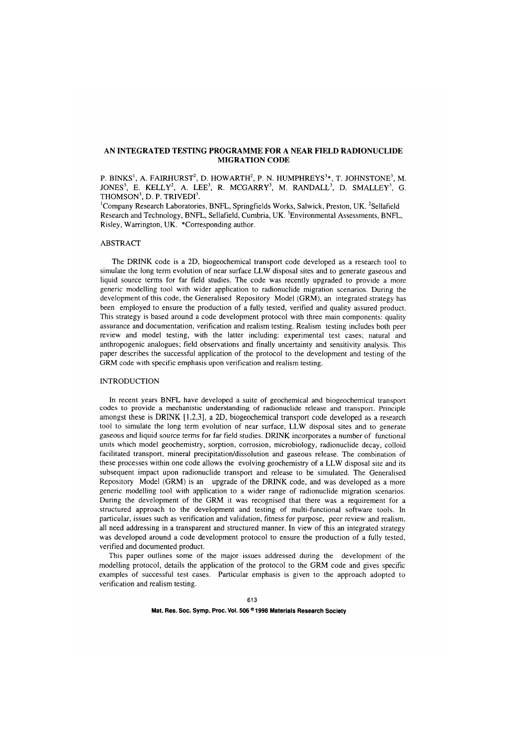## AN INTEGRATED TESTING PROGRAMME FOR A NEAR FIELD RADIONUCLIDE **MIGRATION CODE**

P. BINKS<sup>1</sup>, A. FAIRHURST<sup>2</sup>, D. HOWARTH<sup>2</sup>, P. N. HUMPHREYS<sup>3\*</sup>, T. JOHNSTONE<sup>3</sup>, M. JONES<sup>3</sup>, E. KELLY<sup>2</sup>, A. LEE<sup>3</sup>, R. MCGARRY<sup>3</sup>, M. RANDALL<sup>3</sup>, D. SMALLEY<sup>3</sup>, G. THOMSON<sup>3</sup>, D. P. TRIVEDI<sup>3</sup>.

<sup>1</sup>Company Research Laboratories, BNFL, Springfields Works, Salwick, Preston, UK.<sup>2</sup>Sellafield Research and Technology, BNFL, Sellafield, Cumbria, UK.<sup>3</sup>Environmental Assessments, BNFL, Risley, Warrington, UK. \*Corresponding author.

### **ABSTRACT**

The DRINK code is a 2D, biogeochemical transport code developed as a research tool to simulate the long term evolution of near surface LLW disposal sites and to generate gaseous and liquid source terms for far field studies. The code was recently upgraded to provide a more generic modelling tool with wider application to radionuclide migration scenarios. During the development of this code, the Generalised Repository Model (GRM), an integrated strategy has been employed to ensure the production of a fully tested, verified and quality assured product. This strategy is based around a code development protocol with three main components: quality assurance and documentation, verification and realism testing. Realism testing includes both peer review and model testing, with the latter including: experimental test cases; natural and anthropogenic analogues; field observations and finally uncertainty and sensitivity analysis. This paper describes the successful application of the protocol to the development and testing of the GRM code with specific emphasis upon verification and realism testing.

## **INTRODUCTION**

In recent years BNFL have developed a suite of geochemical and biogeochemical transport codes to provide a mechanistic understanding of radionuclide release and transport. Principle amongst these is DRINK [1,2,3], a 2D, biogeochemical transport code developed as a research tool to simulate the long term evolution of near surface, LLW disposal sites and to generate gaseous and liquid source terms for far field studies. DRINK incorporates a number of functional units which model geochemistry, sorption, corrosion, microbiology, radionuclide decay, colloid facilitated transport, mineral precipitation/dissolution and gaseous release. The combination of these processes within one code allows the evolving geochemistry of a LLW disposal site and its subsequent impact upon radionuclide transport and release to be simulated. The Generalised Repository Model (GRM) is an upgrade of the DRINK code, and was developed as a more generic modelling tool with application to a wider range of radionuclide migration scenarios. During the development of the GRM it was recognised that there was a requirement for a structured approach to the development and testing of multi-functional software tools. In particular, issues such as verification and validation, fitness for purpose, peer review and realism, all need addressing in a transparent and structured manner. In view of this an integrated strategy was developed around a code development protocol to ensure the production of a fully tested, verified and documented product.

This paper outlines some of the major issues addressed during the development of the modelling protocol, details the application of the protocol to the GRM code and gives specific examples of successful test cases. Particular emphasis is given to the approach adopted to verification and realism testing.

Mat. Res. Soc. Symp. Proc. Vol. 506 ° 1998 Materials Research Society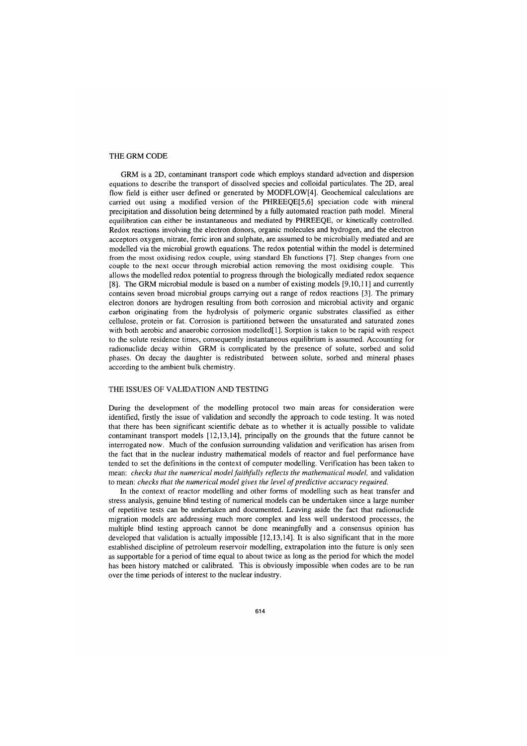### THE GRM CODE

GRM is a 2D, contaminant transport code which employs standard advection and dispersion equations to describe the transport of dissolved species and colloidal particulates. The 2D, areal flow field is either user defined or generated by MODFLOW[4]. Geochemical calculations are carried out using a modified version of the PHREEOEI5.61 speciation code with mineral precipitation and dissolution being determined by a fully automated reaction path model. Mineral equilibration can either be instantaneous and mediated by PHREEQE, or kinetically controlled. Redox reactions involving the electron donors, organic molecules and hydrogen, and the electron acceptors oxygen, nitrate, ferric iron and sulphate, are assumed to be microbially mediated and are modelled via the microbial growth equations. The redox potential within the model is determined from the most oxidising redox couple, using standard Eh functions [7]. Step changes from one couple to the next occur through microbial action removing the most oxidising couple. This allows the modelled redox potential to progress through the biologically mediated redox sequence [8]. The GRM microbial module is based on a number of existing models [9,10,11] and currently contains seven broad microbial groups carrying out a range of redox reactions [3]. The primary electron donors are hydrogen resulting from both corrosion and microbial activity and organic carbon originating from the hydrolysis of polymeric organic substrates classified as either cellulose, protein or fat. Corrosion is partitioned between the unsaturated and saturated zones with both aerobic and anaerobic corrosion modelled[1]. Sorption is taken to be rapid with respect to the solute residence times, consequently instantaneous equilibrium is assumed. Accounting for radionuclide decay within GRM is complicated by the presence of solute, sorbed and solid phases. On decay the daughter is redistributed between solute, sorbed and mineral phases according to the ambient bulk chemistry.

## THE ISSUES OF VALIDATION AND TESTING

During the development of the modelling protocol two main areas for consideration were identified, firstly the issue of validation and secondly the approach to code testing. It was noted that there has been significant scientific debate as to whether it is actually possible to validate contaminant transport models [12,13,14], principally on the grounds that the future cannot be interrogated now. Much of the confusion surrounding validation and verification has arisen from the fact that in the nuclear industry mathematical models of reactor and fuel performance have tended to set the definitions in the context of computer modelling. Verification has been taken to mean: checks that the numerical model faithfully reflects the mathematical model, and validation to mean: checks that the numerical model gives the level of predictive accuracy required.

In the context of reactor modelling and other forms of modelling such as heat transfer and stress analysis, genuine blind testing of numerical models can be undertaken since a large number of repetitive tests can be undertaken and documented. Leaving aside the fact that radionuclide migration models are addressing much more complex and less well understood processes, the multiple blind testing approach cannot be done meaningfully and a consensus opinion has developed that validation is actually impossible  $[12,13,14]$ . It is also significant that in the more established discipline of petroleum reservoir modelling, extrapolation into the future is only seen as supportable for a period of time equal to about twice as long as the period for which the model has been history matched or calibrated. This is obviously impossible when codes are to be run over the time periods of interest to the nuclear industry.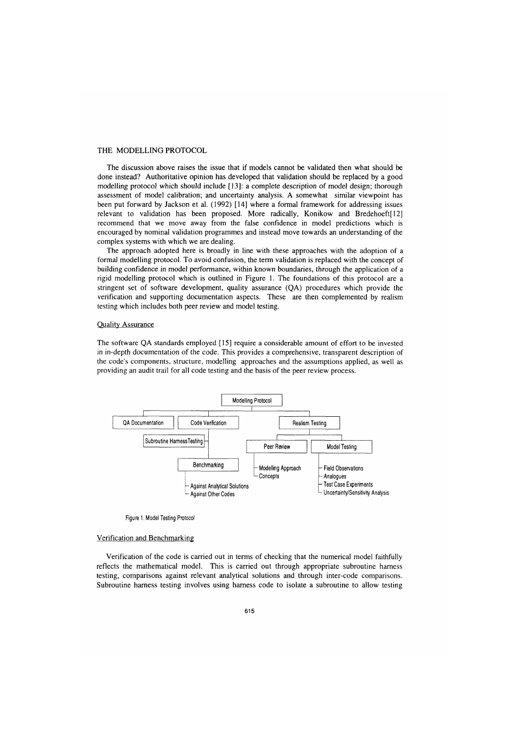## THE MODELLING PROTOCOL

The discussion above raises the issue that if models cannot be validated then what should be done instead? Authoritative opinion has developed that validation should be replaced by a good modelling protocol which should include [13]: a complete description of model design; thorough assessment of model calibration; and uncertainty analysis. A somewhat similar viewpoint has been put forward by Jackson et al. (1992) [14] where a formal framework for addressing issues relevant to validation has been proposed. More radically, Konikow and Bredehoeft[12] recommend that we move away from the false confidence in model predictions which is encouraged by nominal validation programmes and instead move towards an understanding of the complex systems with which we are dealing.

The approach adopted here is broadly in line with these approaches with the adoption of a formal modelling protocol. To avoid confusion, the term validation is replaced with the concept of building confidence in model performance, within known boundaries, through the application of a rigid modelling protocol which is outlined in Figure 1. The foundations of this protocol are a stringent set of software development, quality assurance (QA) procedures which provide the verification and supporting documentation aspects. These are then complemented by realism testing which includes both peer review and model testing.

## **Quality Assurance**

The software QA standards employed [15] require a considerable amount of effort to be invested in in-depth documentation of the code. This provides a comprehensive, transparent description of the code's components, structure, modelling approaches and the assumptions applied, as well as providing an audit trail for all code testing and the basis of the peer review process.



Figure 1. Model Testing Protocol

#### Verification and Benchmarking

Verification of the code is carried out in terms of checking that the numerical model faithfully reflects the mathematical model. This is carried out through appropriate subroutine harness testing, comparisons against relevant analytical solutions and through inter-code comparisons. Subroutine harness testing involves using harness code to isolate a subroutine to allow testing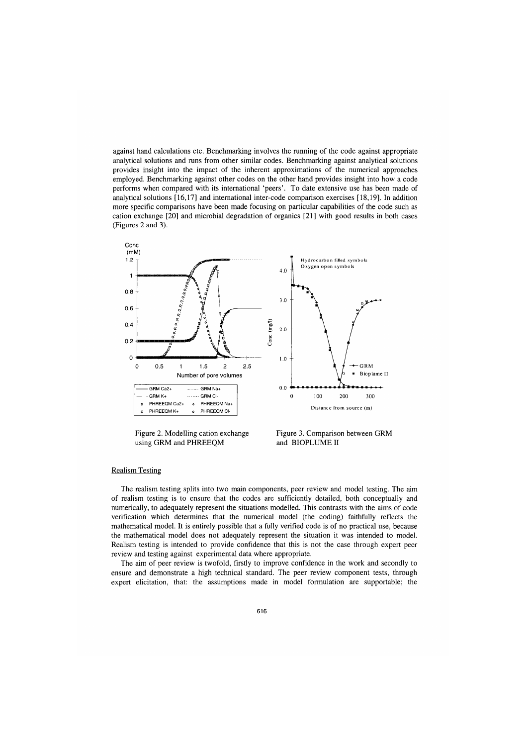against hand calculations etc. Benchmarking involves the running of the code against appropriate analytical solutions and runs from other similar codes. Benchmarking against analytical solutions provides insight into the impact of the inherent approximations of the numerical approaches employed. Benchmarking against other codes on the other hand provides insight into how a code performs when compared with its international 'peers'. To date extensive use has been made of analytical solutions  $[16,17]$  and international inter-code comparison exercises  $[18,19]$ . In addition more specific comparisons have been made focusing on particular capabilities of the code such as cation exchange [20] and microbial degradation of organics [21] with good results in both cases (Figures 2 and 3).



Figure 2. Modelling cation exchange using GRM and PHREEOM

Figure 3. Comparison between GRM and BIOPLUME II

## **Realism Testing**

The realism testing splits into two main components, peer review and model testing. The aim of realism testing is to ensure that the codes are sufficiently detailed, both conceptually and numerically, to adequately represent the situations modelled. This contrasts with the aims of code verification which determines that the numerical model (the coding) faithfully reflects the mathematical model. It is entirely possible that a fully verified code is of no practical use, because the mathematical model does not adequately represent the situation it was intended to model. Realism testing is intended to provide confidence that this is not the case through expert peer review and testing against experimental data where appropriate.

The aim of peer review is twofold, firstly to improve confidence in the work and secondly to ensure and demonstrate a high technical standard. The peer review component tests, through expert elicitation, that: the assumptions made in model formulation are supportable; the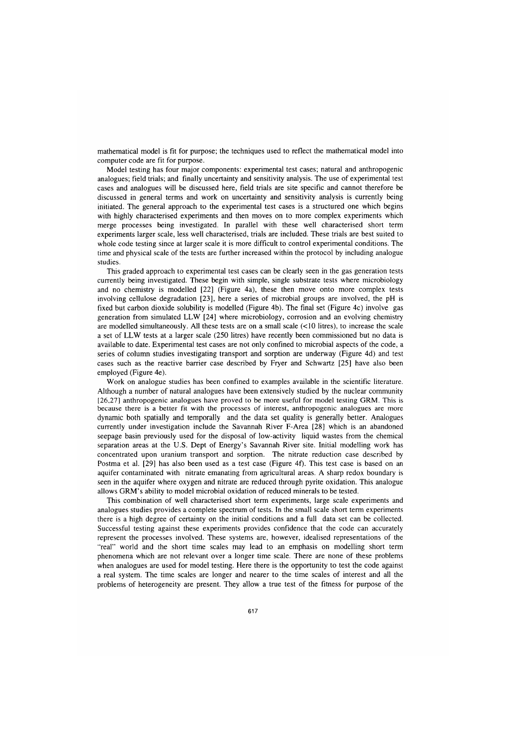mathematical model is fit for purpose; the techniques used to reflect the mathematical model into computer code are fit for purpose.

Model testing has four major components: experimental test cases; natural and anthropogenic analogues; field trials; and finally uncertainty and sensitivity analysis. The use of experimental test cases and analogues will be discussed here, field trials are site specific and cannot therefore be discussed in general terms and work on uncertainty and sensitivity analysis is currently being initiated. The general approach to the experimental test cases is a structured one which begins with highly characterised experiments and then moves on to more complex experiments which merge processes being investigated. In parallel with these well characterised short term experiments larger scale, less well characterised, trials are included. These trials are best suited to whole code testing since at larger scale it is more difficult to control experimental conditions. The time and physical scale of the tests are further increased within the protocol by including analogue studies

This graded approach to experimental test cases can be clearly seen in the gas generation tests currently being investigated. These begin with simple, single substrate tests where microbiology and no chemistry is modelled [22] (Figure 4a), these then move onto more complex tests involving cellulose degradation [23], here a series of microbial groups are involved, the pH is fixed but carbon dioxide solubility is modelled (Figure 4b). The final set (Figure 4c) involve gas generation from simulated LLW [24] where microbiology, corrosion and an evolving chemistry are modelled simultaneously. All these tests are on a small scale  $(<10$  litres), to increase the scale a set of LLW tests at a larger scale (250 litres) have recently been commissioned but no data is available to date. Experimental test cases are not only confined to microbial aspects of the code, a series of column studies investigating transport and sorption are underway (Figure 4d) and test cases such as the reactive barrier case described by Fryer and Schwartz [25] have also been employed (Figure 4e).

Work on analogue studies has been confined to examples available in the scientific literature. Although a number of natural analogues have been extensively studied by the nuclear community [26,27] anthropogenic analogues have proved to be more useful for model testing GRM. This is because there is a better fit with the processes of interest, anthropogenic analogues are more dynamic both spatially and temporally and the data set quality is generally better. Analogues currently under investigation include the Savannah River F-Area [28] which is an abandoned seepage basin previously used for the disposal of low-activity liquid wastes from the chemical separation areas at the U.S. Dept of Energy's Savannah River site. Initial modelling work has concentrated upon uranium transport and sorption. The nitrate reduction case described by Postma et al. [29] has also been used as a test case (Figure 4f). This test case is based on an aquifer contaminated with nitrate emanating from agricultural areas. A sharp redox boundary is seen in the aquifer where oxygen and nitrate are reduced through pyrite oxidation. This analogue allows GRM's ability to model microbial oxidation of reduced minerals to be tested.

This combination of well characterised short term experiments, large scale experiments and analogues studies provides a complete spectrum of tests. In the small scale short term experiments there is a high degree of certainty on the initial conditions and a full data set can be collected. Successful testing against these experiments provides confidence that the code can accurately represent the processes involved. These systems are, however, idealised representations of the "real" world and the short time scales may lead to an emphasis on modelling short term phenomena which are not relevant over a longer time scale. There are none of these problems when analogues are used for model testing. Here there is the opportunity to test the code against a real system. The time scales are longer and nearer to the time scales of interest and all the problems of heterogeneity are present. They allow a true test of the fitness for purpose of the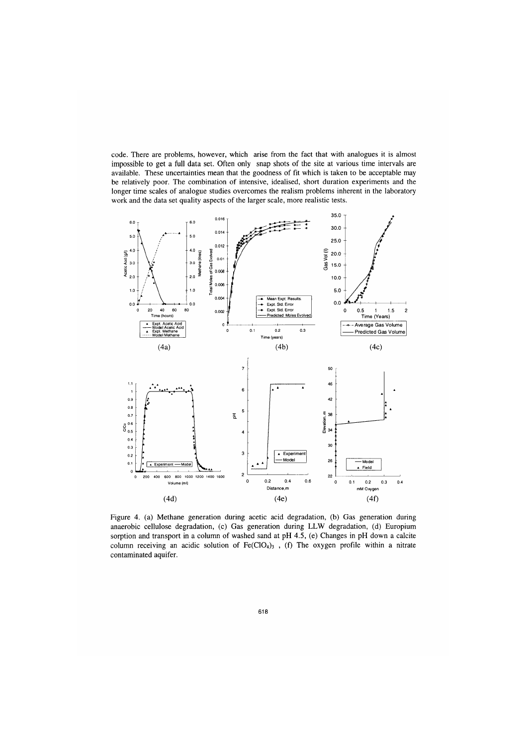code. There are problems, however, which arise from the fact that with analogues it is almost impossible to get a full data set. Often only snap shots of the site at various time intervals are available. These uncertainties mean that the goodness of fit which is taken to be acceptable may be relatively poor. The combination of intensive, idealised, short duration experiments and the longer time scales of analogue studies overcomes the realism problems inherent in the laboratory work and the data set quality aspects of the larger scale, more realistic tests.



Figure 4. (a) Methane generation during acetic acid degradation, (b) Gas generation during anaerobic cellulose degradation, (c) Gas generation during LLW degradation, (d) Europium sorption and transport in a column of washed sand at pH 4.5, (e) Changes in pH down a calcite column receiving an acidic solution of Fe(ClO<sub>4</sub>)<sub>3</sub>, (f) The oxygen profile within a nitrate contaminated aquifer.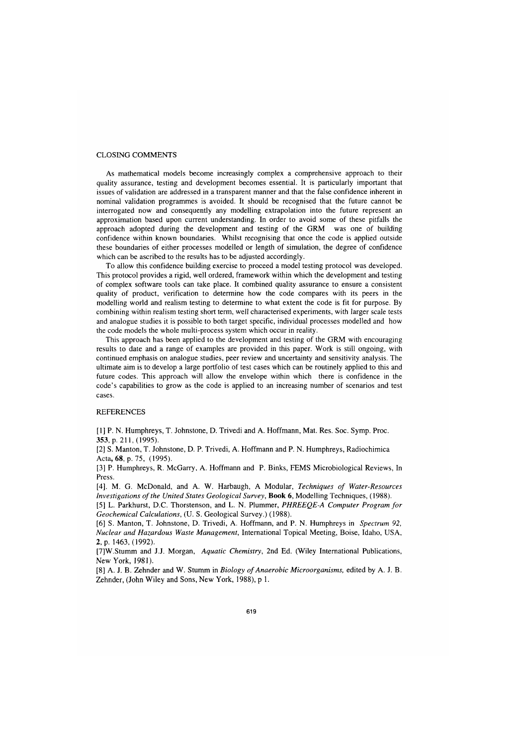## **CLOSING COMMENTS**

As mathematical models become increasingly complex a comprehensive approach to their quality assurance, testing and development becomes essential. It is particularly important that issues of validation are addressed in a transparent manner and that the false confidence inherent in nominal validation programmes is avoided. It should be recognised that the future cannot be interrogated now and consequently any modelling extrapolation into the future represent an approximation based upon current understanding. In order to avoid some of these pitfalls the approach adopted during the development and testing of the GRM was one of building confidence within known boundaries. Whilst recognising that once the code is applied outside these boundaries of either processes modelled or length of simulation, the degree of confidence which can be ascribed to the results has to be adjusted accordingly.

To allow this confidence building exercise to proceed a model testing protocol was developed. This protocol provides a rigid, well ordered, framework within which the development and testing of complex software tools can take place. It combined quality assurance to ensure a consistent quality of product, verification to determine how the code compares with its peers in the modelling world and realism testing to determine to what extent the code is fit for purpose. By combining within realism testing short term, well characterised experiments, with larger scale tests and analogue studies it is possible to both target specific, individual processes modelled and how the code models the whole multi-process system which occur in reality.

This approach has been applied to the development and testing of the GRM with encouraging results to date and a range of examples are provided in this paper. Work is still ongoing, with continued emphasis on analogue studies, peer review and uncertainty and sensitivity analysis. The ultimate aim is to develop a large portfolio of test cases which can be routinely applied to this and future codes. This approach will allow the envelope within which there is confidence in the code's capabilities to grow as the code is applied to an increasing number of scenarios and test cases.

## **REFERENCES**

[1] P. N. Humphreys, T. Johnstone, D. Trivedi and A. Hoffmann, Mat. Res. Soc. Symp. Proc. 353, p. 211, (1995).

[2] S. Manton, T. Johnstone, D. P. Trivedi, A. Hoffmann and P. N. Humphreys, Radiochimica Acta, 68, p. 75, (1995).

[3] P. Humphreys, R. McGarry, A. Hoffmann and P. Binks, FEMS Microbiological Reviews, In Press.

[4]. M. G. McDonald, and A. W. Harbaugh, A Modular, Techniques of Water-Resources Investigations of the United States Geological Survey, Book 6, Modelling Techniques, (1988).

[5] L. Parkhurst, D.C. Thorstenson, and L. N. Plummer, PHREEQE-A Computer Program for Geochemical Calculations, (U. S. Geological Survey.) (1988).

[6] S. Manton, T. Johnstone, D. Trivedi, A. Hoffmann, and P. N. Humphreys in Spectrum 92, Nuclear and Hazardous Waste Management, International Topical Meeting, Boise, Idaho, USA, 2, p. 1463, (1992).

[7] W. Stumm and J.J. Morgan, Aquatic Chemistry, 2nd Ed. (Wiley International Publications, New York, 1981).

[8] A. J. B. Zehnder and W. Stumm in Biology of Anaerobic Microorganisms, edited by A. J. B. Zehnder, (John Wiley and Sons, New York, 1988), p 1.